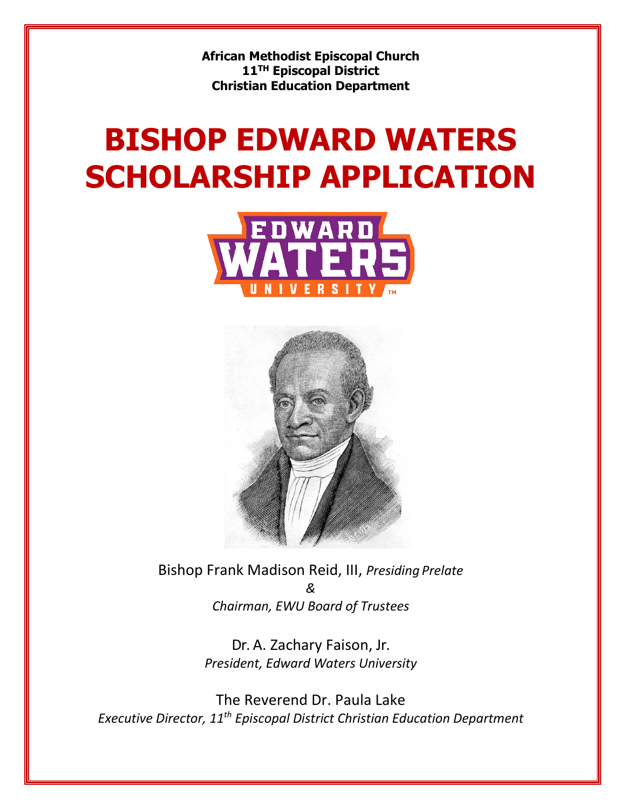**African Methodist Episcopal Church 11TH Episcopal District Christian Education Department**

# **BISHOP EDWARD WATERS SCHOLARSHIP APPLICATION**





Bishop Frank Madison Reid, III, *Presiding Prelate & Chairman, EWU Board of Trustees*

> Dr. A. Zachary Faison, Jr. *President, Edward Waters University*

The Reverend Dr. Paula Lake *Executive Director, 11th Episcopal District Christian Education Department*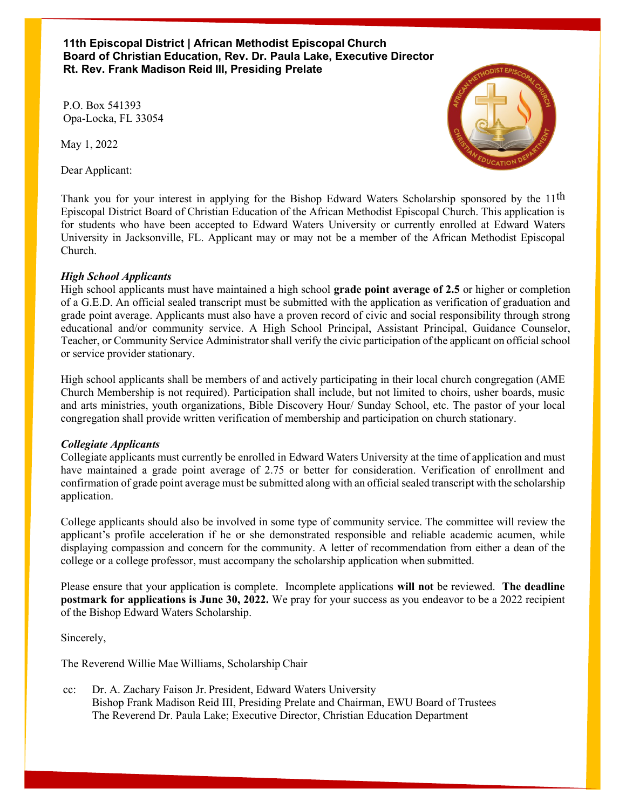**11th Episcopal District | African Methodist Episcopal Church Board of Christian Education, Rev. Dr. Paula Lake, Executive Director Rt. Rev. Frank Madison Reid III, Presiding Prelate**

P.O. Box 541393 Opa-Locka, FL 33054

May 1, 2022

Dear Applicant:



Thank you for your interest in applying for the Bishop Edward Waters Scholarship sponsored by the 11<sup>th</sup> Episcopal District Board of Christian Education of the African Methodist Episcopal Church. This application is for students who have been accepted to Edward Waters University or currently enrolled at Edward Waters University in Jacksonville, FL. Applicant may or may not be a member of the African Methodist Episcopal Church.

#### *High School Applicants*

High school applicants must have maintained a high school **grade point average of 2.5** or higher or completion of a G.E.D. An official sealed transcript must be submitted with the application as verification of graduation and grade point average. Applicants must also have a proven record of civic and social responsibility through strong educational and/or community service. A High School Principal, Assistant Principal, Guidance Counselor, Teacher, or Community Service Administrator shall verify the civic participation of the applicant on official school or service provider stationary.

High school applicants shall be members of and actively participating in their local church congregation (AME Church Membership is not required). Participation shall include, but not limited to choirs, usher boards, music and arts ministries, youth organizations, Bible Discovery Hour/ Sunday School, etc. The pastor of your local congregation shall provide written verification of membership and participation on church stationary.

#### *Collegiate Applicants*

Collegiate applicants must currently be enrolled in Edward Waters University at the time of application and must have maintained a grade point average of 2.75 or better for consideration. Verification of enrollment and confirmation of grade point average must be submitted along with an official sealed transcript with the scholarship application.

College applicants should also be involved in some type of community service. The committee will review the applicant's profile acceleration if he or she demonstrated responsible and reliable academic acumen, while displaying compassion and concern for the community. A letter of recommendation from either a dean of the college or a college professor, must accompany the scholarship application when submitted.

Please ensure that your application is complete. Incomplete applications **will not** be reviewed. **The deadline postmark for applications is June 30, 2022.** We pray for your success as you endeavor to be a 2022 recipient of the Bishop Edward Waters Scholarship.

Sincerely,

The Reverend Willie Mae Williams, Scholarship Chair

cc: Dr. A. Zachary Faison Jr. President, Edward Waters University Bishop Frank Madison Reid III, Presiding Prelate and Chairman, EWU Board of Trustees The Reverend Dr. Paula Lake; Executive Director, Christian Education Department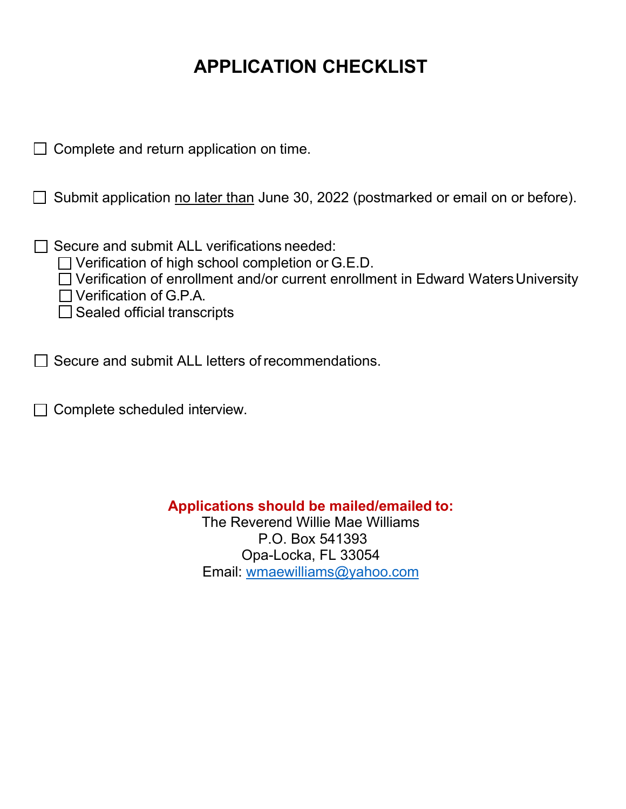### **APPLICATION CHECKLIST**

| $\Box$ Complete and return application on time.                                                                                                                                                                                                                          |
|--------------------------------------------------------------------------------------------------------------------------------------------------------------------------------------------------------------------------------------------------------------------------|
| Submit application no later than June 30, 2022 (postmarked or email on or before).                                                                                                                                                                                       |
| Secure and submit ALL verifications needed:<br>$\Box$ Verification of high school completion or G.E.D.<br>$\Box$ Verification of enrollment and/or current enrollment in Edward Waters University<br>$\Box$ Verification of G.P.A.<br>$\Box$ Sealed official transcripts |
| Secure and submit ALL letters of recommendations.                                                                                                                                                                                                                        |

 $\Box$  Complete scheduled interview.

**Applications should be mailed/emailed to:**

The Reverend Willie Mae Williams P.O. Box 541393 Opa-Locka, FL 33054 Email: [wmaewilliams@yahoo.com](mailto:wmaewilliams@yahoo.com)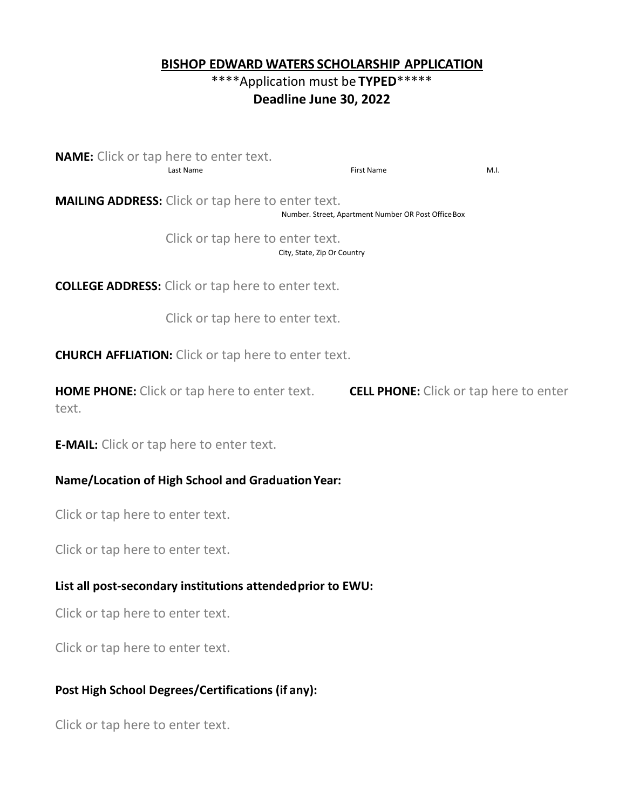#### **BISHOP EDWARD WATERS SCHOLARSHIP APPLICATION**

#### \*\*\*\*Application must be **TYPED**\*\*\*\*\* **Deadline June 30, 2022**

**NAME:** Click or tap here to enter text. Last Name First Name M.I.

**MAILING ADDRESS:** Click or tap here to enter text. Number. Street, Apartment Number OR Post OfficeBox

> Click or tap here to enter text. City, State, Zip Or Country

**COLLEGE ADDRESS:** Click or tap here to enter text.

Click or tap here to enter text.

**CHURCH AFFLIATION:** Click or tap here to enter text.

**HOME PHONE:** Click or tap here to enter text. **CELL PHONE:** Click or tap here to enter text.

**E-MAIL:** Click or tap here to enter text.

#### **Name/Location of High School and GraduationYear:**

Click or tap here to enter text.

Click or tap here to enter text.

#### **List all post-secondary institutions attendedprior to EWU:**

Click or tap here to enter text.

Click or tap here to enter text.

#### **Post High School Degrees/Certifications (if any):**

Click or tap here to enter text.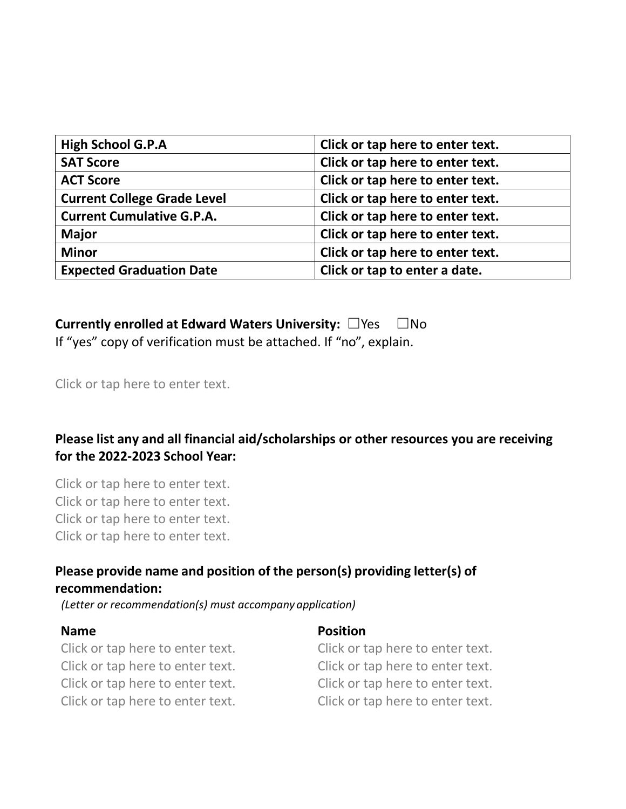| <b>High School G.P.A</b>           | Click or tap here to enter text. |
|------------------------------------|----------------------------------|
| <b>SAT Score</b>                   | Click or tap here to enter text. |
| <b>ACT Score</b>                   | Click or tap here to enter text. |
| <b>Current College Grade Level</b> | Click or tap here to enter text. |
| <b>Current Cumulative G.P.A.</b>   | Click or tap here to enter text. |
| <b>Major</b>                       | Click or tap here to enter text. |
| <b>Minor</b>                       | Click or tap here to enter text. |
| <b>Expected Graduation Date</b>    | Click or tap to enter a date.    |

## **Currently enrolled at Edward Waters University:** ☐Yes ☐No

If "yes" copy of verification must be attached. If "no", explain.

#### Click or tap here to enter text.

### **Please list any and all financial aid/scholarships or other resources you are receiving for the 2022-2023 School Year:**

Click or tap here to enter text. Click or tap here to enter text. Click or tap here to enter text. Click or tap here to enter text.

#### **Please provide name and position of the person(s) providing letter(s) of recommendation:**

*(Letter or recommendation(s) must accompany application)*

#### **Name Position**

Click or tap here to enter text. Click or tap here to enter text. Click or tap here to enter text. Click or tap here to enter text. Click or tap here to enter text. Click or tap here to enter text. Click or tap here to enter text. Click or tap here to enter text.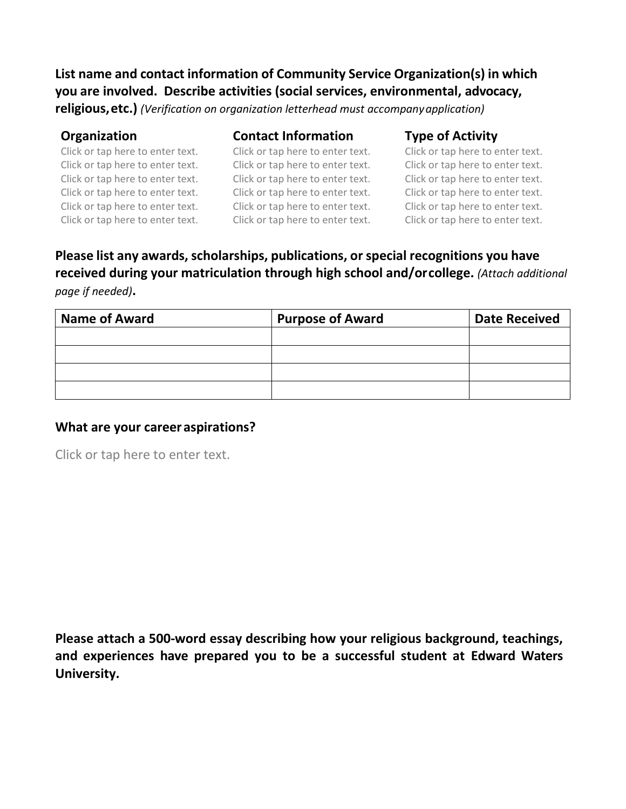**List name and contact information of Community Service Organization(s) in which you are involved. Describe activities (social services, environmental, advocacy, religious,etc.)** *(Verification on organization letterhead must accompanyapplication)*

| <b>Organization</b>              | <b>Contact Information</b>       | <b>Type of Activity</b>          |  |
|----------------------------------|----------------------------------|----------------------------------|--|
| Click or tap here to enter text. | Click or tap here to enter text. | Click or tap here to enter text. |  |
| Click or tap here to enter text. | Click or tap here to enter text. | Click or tap here to enter text. |  |
| Click or tap here to enter text. | Click or tap here to enter text. | Click or tap here to enter text. |  |
| Click or tap here to enter text. | Click or tap here to enter text. | Click or tap here to enter text. |  |
| Click or tap here to enter text. | Click or tap here to enter text. | Click or tap here to enter text. |  |
| Click or tap here to enter text. | Click or tap here to enter text. | Click or tap here to enter text. |  |

**Please list any awards, scholarships, publications, or special recognitions you have received during your matriculation through high school and/orcollege.** *(Attach additional page if needed)***.** 

| <b>Name of Award</b> | <b>Purpose of Award</b> | <b>Date Received</b> |
|----------------------|-------------------------|----------------------|
|                      |                         |                      |
|                      |                         |                      |
|                      |                         |                      |
|                      |                         |                      |

#### **What are your careeraspirations?**

Click or tap here to enter text.

**Please attach a 500-word essay describing how your religious background, teachings, and experiences have prepared you to be a successful student at Edward Waters University.**